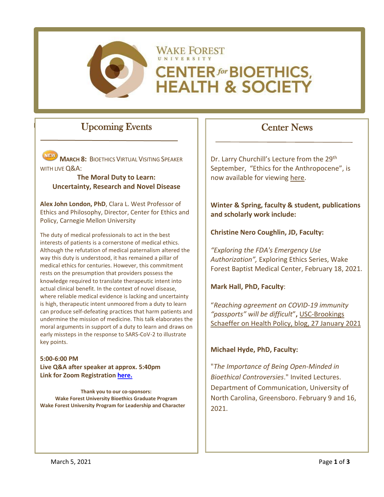

# Upcoming Events

**MARCH 8: BIOETHICS VIRTUAL VISITING SPEAKER** WITH LIVE Q&A:

#### **The Moral Duty to Learn: Uncertainty, Research and Novel Disease**

**Alex John London, PhD**, Clara L. West Professor of Ethics and Philosophy, Director, Center for Ethics and Policy, Carnegie Mellon University

The duty of medical professionals to act in the best interests of patients is a cornerstone of medical ethics. Although the refutation of medical paternalism altered the way this duty is understood, it has remained a pillar of medical ethics for centuries. However, this commitment rests on the presumption that providers possess the knowledge required to translate therapeutic intent into actual clinical benefit. In the context of novel disease, where reliable medical evidence is lacking and uncertainty is high, therapeutic intent unmoored from a duty to learn can produce self-defeating practices that harm patients and undermine the mission of medicine. This talk elaborates the moral arguments in support of a duty to learn and draws on early missteps in the response to SARS-CoV-2 to illustrate key points.

**5:00-6:00 PM Live Q&A after speaker at approx. 5:40pm Link for Zoom Registration [here.](https://wakeforest-university.zoom.us/s/99924405726#success)**

**Thank you to our co-sponsors: Wake Forest University Bioethics Graduate Program Wake Forest University Program for Leadership and Character**

# Center News

Dr. Larry Churchill's Lecture from the 29<sup>th</sup> September, "Ethics for the Anthropocene", is now available for viewing [here.](https://bioethics.wfu.edu/speaker-series/)

**Winter & Spring, faculty & student, publications and scholarly work include:**

**Christine Nero Coughlin, JD, Faculty:**

*"Exploring the FDA's Emergency Use Authorization",* Exploring Ethics Series, Wake Forest Baptist Medical Center, February 18, 2021.

**Mark Hall, PhD, Faculty**:

"*Reaching agreement on COVID-19 immunity "passports" will be difficult*"**,** [USC-Brookings](https://www.brookings.edu/blog/usc-brookings-schaeffer-on-health-policy/2021/01/27/reaching-agreement-on-covid-19-immunity-passports-will-be-difficult/)  [Schaeffer on Health Policy, blog, 27 January 2021](https://www.brookings.edu/blog/usc-brookings-schaeffer-on-health-policy/2021/01/27/reaching-agreement-on-covid-19-immunity-passports-will-be-difficult/)

### **Michael Hyde, PhD, Faculty:**

"*The Importance of Being Open-Minded in Bioethical Controversies*." Invited Lectures. Department of Communication, University of North Carolina, Greensboro. February 9 and 16, 2021.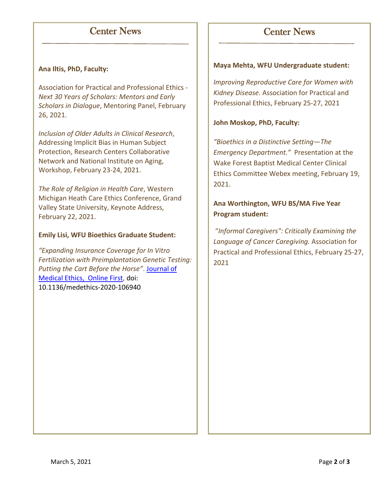# Center News

# Center News

### **Ana Iltis, PhD, Faculty:**

Association for Practical and Professional Ethics - *Next 30 Years of Scholars: Mentors and Early Scholars in Dialogue*, Mentoring Panel, February 26, 2021.

*Inclusion of Older Adults in Clinical Research*, Addressing Implicit Bias in Human Subject Protection, Research Centers Collaborative Network and National Institute on Aging, Workshop, February 23-24, 2021.

*The Role of Religion in Health Care*, Western Michigan Heath Care Ethics Conference, Grand Valley State University, Keynote Address, February 22, 2021.

#### **Emily Lisi, WFU Bioethics Graduate Student:**

*"Expanding Insurance Coverage for In Vitro Fertilization with Preimplantation Genetic Testing: Putting the Cart Before the Horse"*. [Journal of](https://jme.bmj.com/content/early/2021/02/19/medethics-2020-106940)  [Medical Ethics, Online First,](https://jme.bmj.com/content/early/2021/02/19/medethics-2020-106940) doi: 10.1136/medethics-2020-106940

#### **Maya Mehta, WFU Undergraduate student:**

*Improving Reproductive Care for Women with Kidney Disease.* Association for Practical and Professional Ethics, February 25-27, 2021

#### **John Moskop, PhD, Faculty:**

*"Bioethics in a Distinctive Setting—The Emergency Department."* Presentation at the Wake Forest Baptist Medical Center Clinical Ethics Committee Webex meeting, February 19, 2021.

### **Ana Worthington, WFU BS/MA Five Year Program student:**

"*Informal Caregivers": Critically Examining the Language of Cancer Caregiving.* Association for Practical and Professional Ethics, February 25-27, 2021